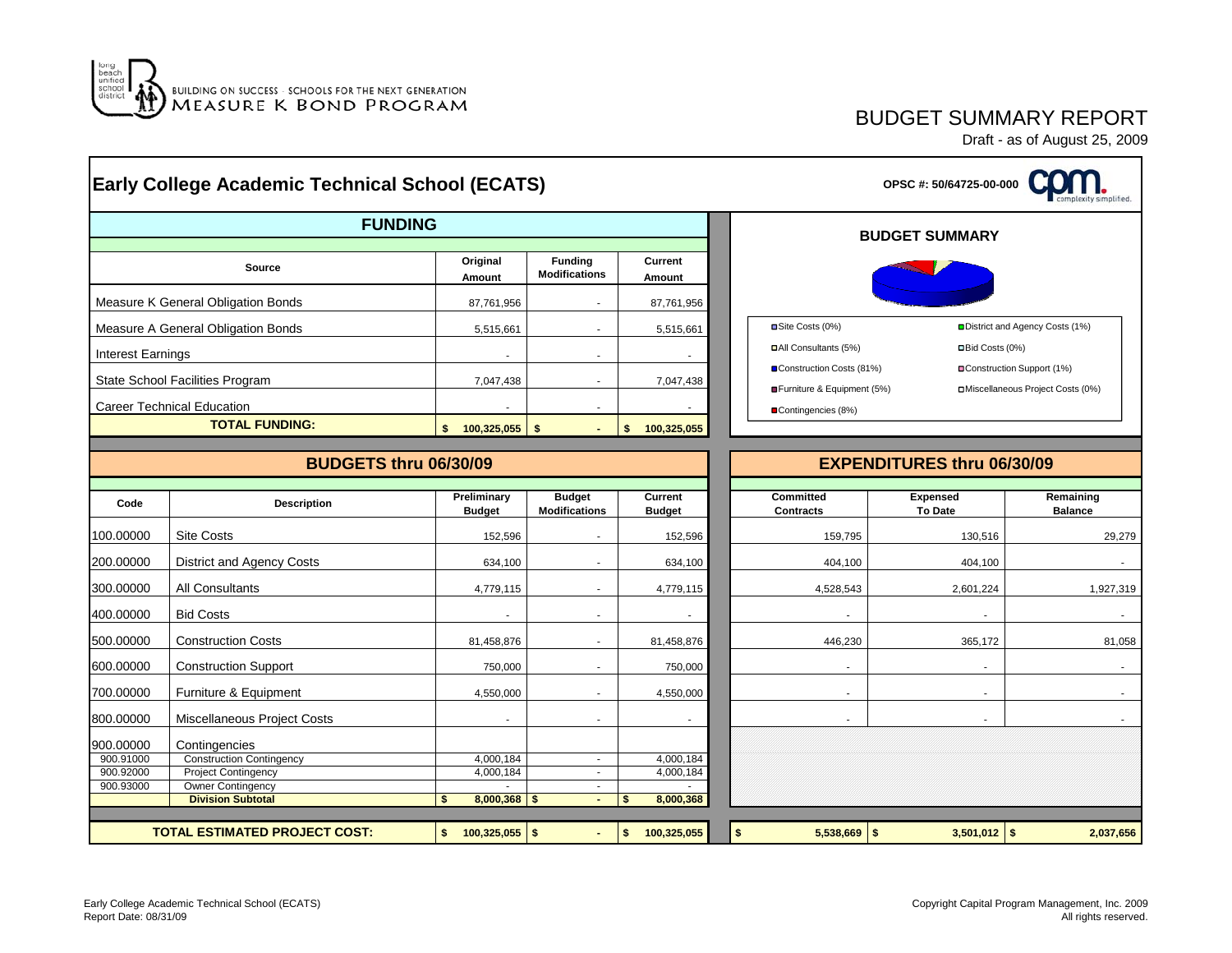

### BUDGET SUMMARY REPORT

|                          | <b>Early College Academic Technical School (ECATS)</b>               |                                                                                                   |                                        | OPSC #: 50/64725-00-000     |                                      |                                                        |                             |                                                                |  |  |  |  |  |  |  |
|--------------------------|----------------------------------------------------------------------|---------------------------------------------------------------------------------------------------|----------------------------------------|-----------------------------|--------------------------------------|--------------------------------------------------------|-----------------------------|----------------------------------------------------------------|--|--|--|--|--|--|--|
|                          | <b>FUNDING</b>                                                       |                                                                                                   | <b>BUDGET SUMMARY</b>                  |                             |                                      |                                                        |                             |                                                                |  |  |  |  |  |  |  |
|                          | <b>Source</b>                                                        | Original<br>Amount                                                                                | <b>Funding</b><br><b>Modifications</b> | Current<br><b>Amount</b>    |                                      |                                                        |                             |                                                                |  |  |  |  |  |  |  |
|                          | Measure K General Obligation Bonds                                   | 87,761,956                                                                                        | $\blacksquare$                         | 87,761,956                  |                                      |                                                        |                             |                                                                |  |  |  |  |  |  |  |
|                          | Measure A General Obligation Bonds                                   | 5,515,661                                                                                         |                                        | 5,515,661                   |                                      | Site Costs (0%)                                        |                             | District and Agency Costs (1%)                                 |  |  |  |  |  |  |  |
| <b>Interest Earnings</b> |                                                                      |                                                                                                   | $\sim$                                 |                             |                                      | All Consultants (5%)                                   | □Bid Costs (0%)             |                                                                |  |  |  |  |  |  |  |
|                          | State School Facilities Program<br><b>Career Technical Education</b> | 7,047,438                                                                                         | $\sim$                                 | 7,047,438                   |                                      | Construction Costs (81%)<br>Furniture & Equipment (5%) |                             | Construction Support (1%)<br>□Miscellaneous Project Costs (0%) |  |  |  |  |  |  |  |
|                          | <b>TOTAL FUNDING:</b>                                                | $$100,325,055$ \$                                                                                 |                                        | $\mathsf{s}$<br>100,325,055 |                                      | Contingencies (8%)                                     |                             |                                                                |  |  |  |  |  |  |  |
|                          | <b>BUDGETS thru 06/30/09</b>                                         |                                                                                                   |                                        |                             | <b>EXPENDITURES thru 06/30/09</b>    |                                                        |                             |                                                                |  |  |  |  |  |  |  |
| Code                     | <b>Description</b>                                                   | Preliminary<br><b>Budget</b><br>Current<br><b>Modifications</b><br><b>Budget</b><br><b>Budget</b> |                                        |                             | <b>Committed</b><br><b>Contracts</b> | <b>Expensed</b><br><b>To Date</b>                      | Remaining<br><b>Balance</b> |                                                                |  |  |  |  |  |  |  |
| 100.00000                | <b>Site Costs</b>                                                    | 152,596                                                                                           |                                        | 152,596                     |                                      | 159,795                                                | 130,516                     | 29,279                                                         |  |  |  |  |  |  |  |
| 200.00000                | District and Agency Costs                                            | 634.100                                                                                           |                                        | 634,100                     |                                      | 404.100                                                | 404,100                     |                                                                |  |  |  |  |  |  |  |
| 300.00000                | All Consultants                                                      | 4,779,115                                                                                         | ٠                                      | 4,779,115                   |                                      | 4,528,543                                              | 2,601,224                   | 1,927,319                                                      |  |  |  |  |  |  |  |
| 400.00000                | <b>Bid Costs</b>                                                     |                                                                                                   |                                        |                             |                                      |                                                        |                             |                                                                |  |  |  |  |  |  |  |
| 500.00000                | <b>Construction Costs</b>                                            | 81,458,876                                                                                        | ÷.                                     | 81,458,876                  |                                      | 446,230                                                | 365,172                     | 81,058                                                         |  |  |  |  |  |  |  |
| 600.00000                | <b>Construction Support</b>                                          | 750,000                                                                                           | $\blacksquare$                         | 750,000                     |                                      | $\blacksquare$                                         |                             |                                                                |  |  |  |  |  |  |  |
| 700.00000                | Furniture & Equipment                                                | 4,550,000                                                                                         | $\sim$                                 | 4,550,000                   |                                      | $\mathbf{r}$                                           | $\sim$                      |                                                                |  |  |  |  |  |  |  |
| 800.00000                | Miscellaneous Project Costs                                          |                                                                                                   | ÷.                                     | $\overline{\phantom{a}}$    |                                      | $\overline{a}$                                         | $\sim$                      |                                                                |  |  |  |  |  |  |  |
| 900.00000                | Contingencies                                                        |                                                                                                   |                                        |                             |                                      |                                                        |                             |                                                                |  |  |  |  |  |  |  |
| 900.91000                | Construction Contingency                                             | 4,000,184                                                                                         | $\sim$                                 | 4,000,184                   |                                      |                                                        |                             |                                                                |  |  |  |  |  |  |  |
| 900.92000<br>900.93000   | <b>Project Contingency</b><br><b>Owner Contingency</b>               | 4,000,184                                                                                         | $\sim$<br>$\sim$                       | 4,000,184                   |                                      |                                                        |                             |                                                                |  |  |  |  |  |  |  |
|                          | <b>Division Subtotal</b>                                             | $8,000,368$ \$<br>\$                                                                              | $\blacksquare$                         | 8,000,368<br>$\frac{2}{3}$  |                                      |                                                        |                             |                                                                |  |  |  |  |  |  |  |
|                          | <b>TOTAL ESTIMATED PROJECT COST:</b>                                 | $$100,325,055$ \$                                                                                 |                                        | \$100,325,055               | \$                                   | $5,538,669$ \$                                         | $3,501,012$ \$              | 2,037,656                                                      |  |  |  |  |  |  |  |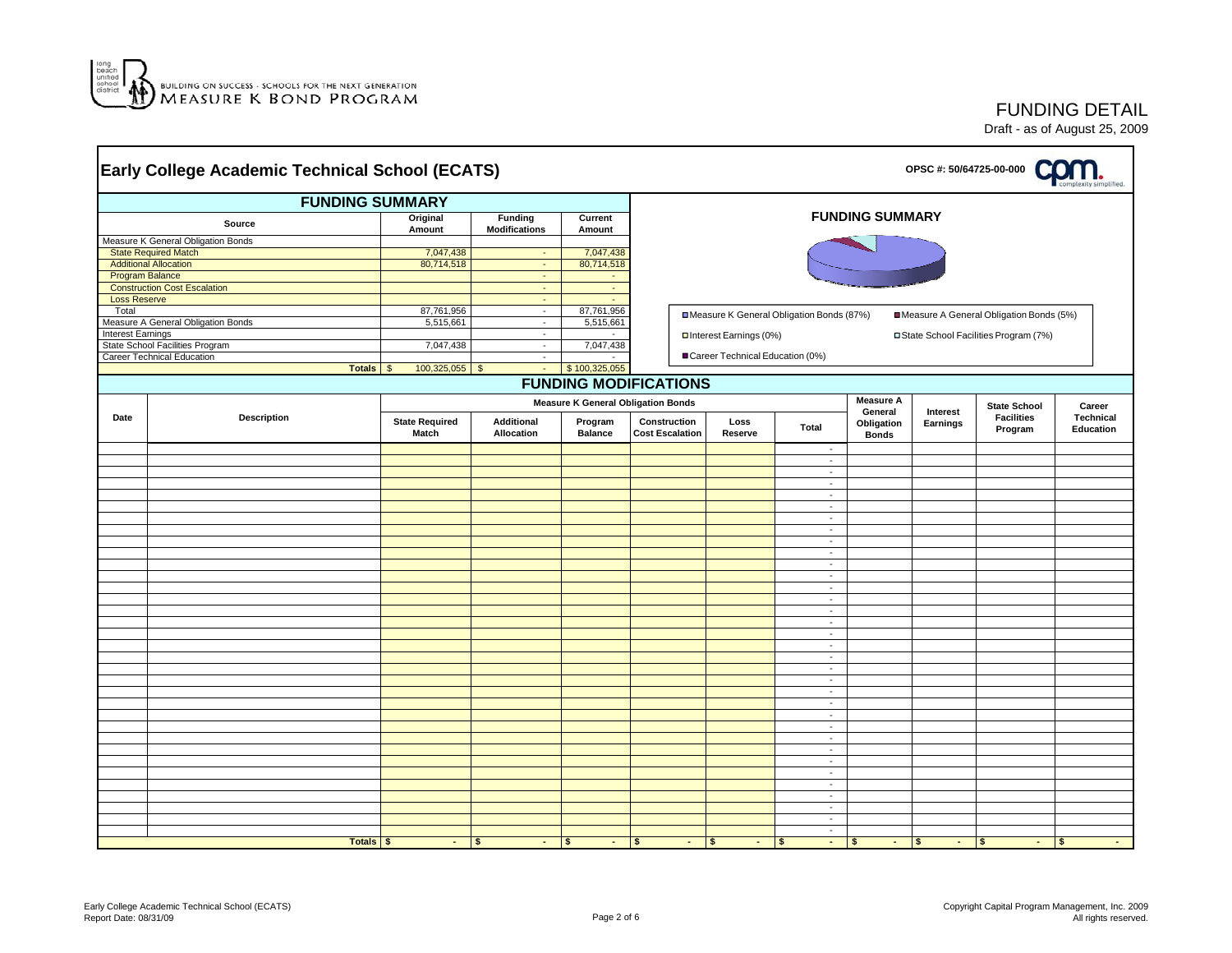

|                                                                                               | <b>FUNDING SUMMARY</b>              |                         |                                        |                             |                        |                                           |                                      |                       |                                |                                                     |                                         |  |
|-----------------------------------------------------------------------------------------------|-------------------------------------|-------------------------|----------------------------------------|-----------------------------|------------------------|-------------------------------------------|--------------------------------------|-----------------------|--------------------------------|-----------------------------------------------------|-----------------------------------------|--|
|                                                                                               | Source                              | Original<br>Amount      | <b>Funding</b><br><b>Modifications</b> |                             |                        |                                           | <b>FUNDING SUMMARY</b>               |                       |                                |                                                     |                                         |  |
|                                                                                               | Measure K General Obligation Bonds  |                         |                                        | Amount                      |                        |                                           |                                      |                       |                                |                                                     |                                         |  |
|                                                                                               | <b>State Required Match</b>         | 7,047,438               | $\sim$                                 | 7,047,438                   |                        |                                           |                                      |                       |                                |                                                     |                                         |  |
|                                                                                               | <b>Additional Allocation</b>        | 80,714,518              | $\sim$                                 | 80,714,518                  |                        |                                           |                                      |                       |                                |                                                     |                                         |  |
|                                                                                               | Program Balance                     |                         | $\sim$                                 | $\sim$                      |                        |                                           |                                      |                       |                                |                                                     |                                         |  |
|                                                                                               | <b>Construction Cost Escalation</b> |                         | $\sim$                                 | $\omega$                    |                        |                                           |                                      |                       |                                |                                                     |                                         |  |
| <b>Loss Reserve</b>                                                                           |                                     |                         | $\sim$                                 | $\mathcal{L}_{\mathcal{A}}$ |                        |                                           |                                      |                       |                                |                                                     |                                         |  |
| Total                                                                                         | Measure A General Obligation Bonds  | 87,761,956<br>5,515,661 | $\sim$                                 | 87,761,956                  |                        | ■Measure K General Obligation Bonds (87%) |                                      |                       |                                | Measure A General Obligation Bonds (5%)             |                                         |  |
| <b>Interest Earnings</b>                                                                      |                                     |                         | $\sim$<br>$\sim$                       | 5,515,661                   |                        |                                           |                                      |                       |                                |                                                     |                                         |  |
|                                                                                               | State School Facilities Program     | 7,047,438               | $\sim$                                 | 7,047,438                   |                        | □ Interest Earnings (0%)                  |                                      |                       |                                | □ State School Facilities Program (7%)              |                                         |  |
|                                                                                               | Career Technical Education          |                         | $\sim$                                 |                             |                        | ■ Career Technical Education (0%)         |                                      |                       |                                |                                                     |                                         |  |
|                                                                                               | <b>Totals</b>                       | $100,325,055$ \$<br>\$  | G.                                     | \$100,325,055               |                        |                                           |                                      |                       |                                |                                                     |                                         |  |
|                                                                                               |                                     |                         |                                        |                             |                        |                                           |                                      |                       |                                |                                                     |                                         |  |
| <b>FUNDING MODIFICATIONS</b><br><b>Measure A</b><br><b>Measure K General Obligation Bonds</b> |                                     |                         |                                        |                             |                        |                                           |                                      |                       |                                |                                                     |                                         |  |
| Date                                                                                          | <b>Description</b>                  | <b>State Required</b>   | Additional                             | Program                     | Construction           | Loss                                      | <b>Total</b>                         | General<br>Obligation | Interest<br>Earnings           | <b>State School</b><br><b>Facilities</b><br>Program | Career<br><b>Technical</b><br>Education |  |
|                                                                                               |                                     | Match                   | Allocation                             | <b>Balance</b>              | <b>Cost Escalation</b> | Reserve                                   |                                      | <b>Bonds</b>          |                                |                                                     |                                         |  |
|                                                                                               |                                     |                         |                                        |                             |                        |                                           | $\blacksquare$                       |                       |                                |                                                     |                                         |  |
|                                                                                               |                                     |                         |                                        |                             |                        |                                           | $\blacksquare$                       |                       |                                |                                                     |                                         |  |
|                                                                                               |                                     |                         |                                        |                             |                        |                                           | $\sim$<br>$\blacksquare$             |                       |                                |                                                     |                                         |  |
|                                                                                               |                                     |                         |                                        |                             |                        |                                           | $\sim$                               |                       |                                |                                                     |                                         |  |
|                                                                                               |                                     |                         |                                        |                             |                        |                                           | $\sim$                               |                       |                                |                                                     |                                         |  |
|                                                                                               |                                     |                         |                                        |                             |                        |                                           | $\sim$                               |                       |                                |                                                     |                                         |  |
|                                                                                               |                                     |                         |                                        |                             |                        |                                           | $\sim$                               |                       |                                |                                                     |                                         |  |
|                                                                                               |                                     |                         |                                        |                             |                        |                                           | $\sim$                               |                       |                                |                                                     |                                         |  |
|                                                                                               |                                     |                         |                                        |                             |                        |                                           | $\blacksquare$                       |                       |                                |                                                     |                                         |  |
|                                                                                               |                                     |                         |                                        |                             |                        |                                           | $\sim$                               |                       |                                |                                                     |                                         |  |
|                                                                                               |                                     |                         |                                        |                             |                        |                                           | $\blacksquare$<br>$\sim$             |                       |                                |                                                     |                                         |  |
|                                                                                               |                                     |                         |                                        |                             |                        |                                           | $\sim$                               |                       |                                |                                                     |                                         |  |
|                                                                                               |                                     |                         |                                        |                             |                        |                                           | $\sim$                               |                       |                                |                                                     |                                         |  |
|                                                                                               |                                     |                         |                                        |                             |                        |                                           | $\blacksquare$                       |                       |                                |                                                     |                                         |  |
|                                                                                               |                                     |                         |                                        |                             |                        |                                           | $\sim$                               |                       |                                |                                                     |                                         |  |
|                                                                                               |                                     |                         |                                        |                             |                        |                                           | $\blacksquare$                       |                       |                                |                                                     |                                         |  |
|                                                                                               |                                     |                         |                                        |                             |                        |                                           | $\sim$                               |                       |                                |                                                     |                                         |  |
|                                                                                               |                                     |                         |                                        |                             |                        |                                           | $\sim$<br>$\sim$                     |                       |                                |                                                     |                                         |  |
|                                                                                               |                                     |                         |                                        |                             |                        |                                           | $\sim$                               |                       |                                |                                                     |                                         |  |
|                                                                                               |                                     |                         |                                        |                             |                        |                                           | $\sim$                               |                       |                                |                                                     |                                         |  |
|                                                                                               |                                     |                         |                                        |                             |                        |                                           | $\omega$                             |                       |                                |                                                     |                                         |  |
|                                                                                               |                                     |                         |                                        |                             |                        |                                           | $\sim$                               |                       |                                |                                                     |                                         |  |
|                                                                                               |                                     |                         |                                        |                             |                        |                                           | $\omega$                             |                       |                                |                                                     |                                         |  |
|                                                                                               |                                     |                         |                                        |                             |                        |                                           | $\overline{\phantom{a}}$             |                       |                                |                                                     |                                         |  |
|                                                                                               |                                     |                         |                                        |                             |                        |                                           | $\omega$                             |                       |                                |                                                     |                                         |  |
|                                                                                               |                                     |                         |                                        |                             |                        |                                           | $\overline{\phantom{a}}$<br>$\omega$ |                       |                                |                                                     |                                         |  |
|                                                                                               |                                     |                         |                                        |                             |                        |                                           | $\overline{\phantom{a}}$             |                       |                                |                                                     |                                         |  |
|                                                                                               |                                     |                         |                                        |                             |                        |                                           | $\sim$                               |                       |                                |                                                     |                                         |  |
|                                                                                               |                                     |                         |                                        |                             |                        |                                           | $\sim$                               |                       |                                |                                                     |                                         |  |
|                                                                                               |                                     |                         |                                        |                             |                        |                                           | $\sim$                               |                       |                                |                                                     |                                         |  |
|                                                                                               | Totals S                            | $\sim$                  | $\vert$ s<br>$\sim 100$                | $\mathsf{S}$<br>$ \vert$ s  |                        | $ \vert s \vert$<br>$\sim$                | $\mathbf{s}$<br>$ \vert$ s           |                       | $ \vert s \vert$<br>$ \vert$ s | $\sim 100$                                          | l s<br>$\sim$ 10 $\pm$                  |  |

FUNDING DETAIL Draft - as of August 25, 2009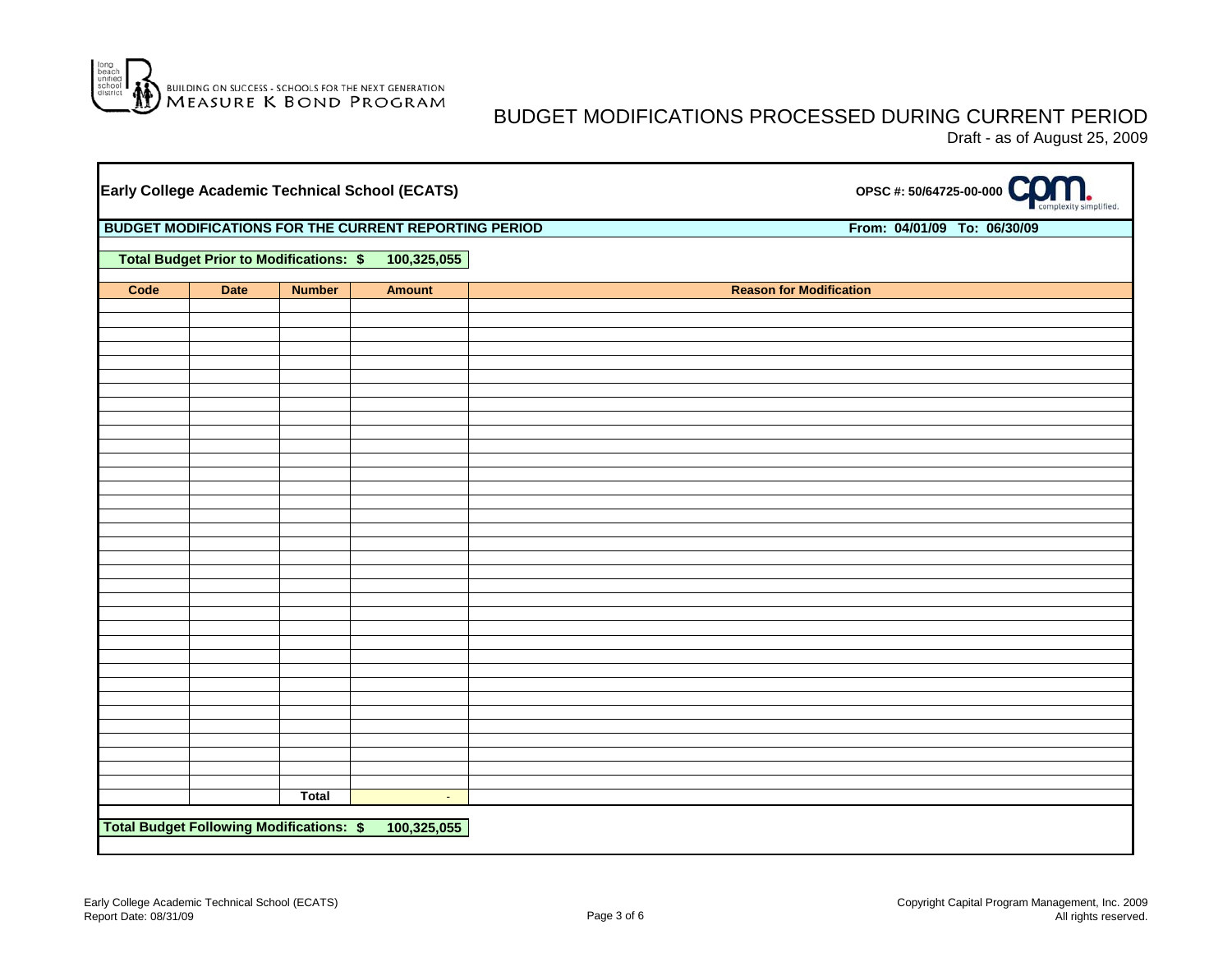

#### BUDGET MODIFICATIONS PROCESSED DURING CURRENT PERIOD Draft - as of August 25, 2009

|      |             | Early College Academic Technical School (ECATS)       |               | OPSC #: 50/64725-00-000        |                             |  |  |  |  |  |  |  |  |
|------|-------------|-------------------------------------------------------|---------------|--------------------------------|-----------------------------|--|--|--|--|--|--|--|--|
|      |             | BUDGET MODIFICATIONS FOR THE CURRENT REPORTING PERIOD |               |                                | From: 04/01/09 To: 06/30/09 |  |  |  |  |  |  |  |  |
|      |             | <b>Total Budget Prior to Modifications: \$</b>        | 100,325,055   |                                |                             |  |  |  |  |  |  |  |  |
| Code | <b>Date</b> | <b>Number</b>                                         | <b>Amount</b> | <b>Reason for Modification</b> |                             |  |  |  |  |  |  |  |  |
|      |             |                                                       |               |                                |                             |  |  |  |  |  |  |  |  |
|      |             |                                                       |               |                                |                             |  |  |  |  |  |  |  |  |
|      |             |                                                       |               |                                |                             |  |  |  |  |  |  |  |  |
|      |             |                                                       |               |                                |                             |  |  |  |  |  |  |  |  |
|      |             |                                                       |               |                                |                             |  |  |  |  |  |  |  |  |
|      |             |                                                       |               |                                |                             |  |  |  |  |  |  |  |  |
|      |             |                                                       |               |                                |                             |  |  |  |  |  |  |  |  |
|      |             |                                                       |               |                                |                             |  |  |  |  |  |  |  |  |
|      |             |                                                       |               |                                |                             |  |  |  |  |  |  |  |  |
|      |             |                                                       |               |                                |                             |  |  |  |  |  |  |  |  |
|      |             |                                                       |               |                                |                             |  |  |  |  |  |  |  |  |
|      |             |                                                       |               |                                |                             |  |  |  |  |  |  |  |  |
|      |             |                                                       |               |                                |                             |  |  |  |  |  |  |  |  |
|      |             |                                                       |               |                                |                             |  |  |  |  |  |  |  |  |
|      |             |                                                       |               |                                |                             |  |  |  |  |  |  |  |  |
|      |             |                                                       |               |                                |                             |  |  |  |  |  |  |  |  |
|      |             |                                                       |               |                                |                             |  |  |  |  |  |  |  |  |
|      |             |                                                       |               |                                |                             |  |  |  |  |  |  |  |  |
|      |             | Total                                                 | $\sim$        |                                |                             |  |  |  |  |  |  |  |  |
|      |             | <b>Total Budget Following Modifications: \$</b>       | 100,325,055   |                                |                             |  |  |  |  |  |  |  |  |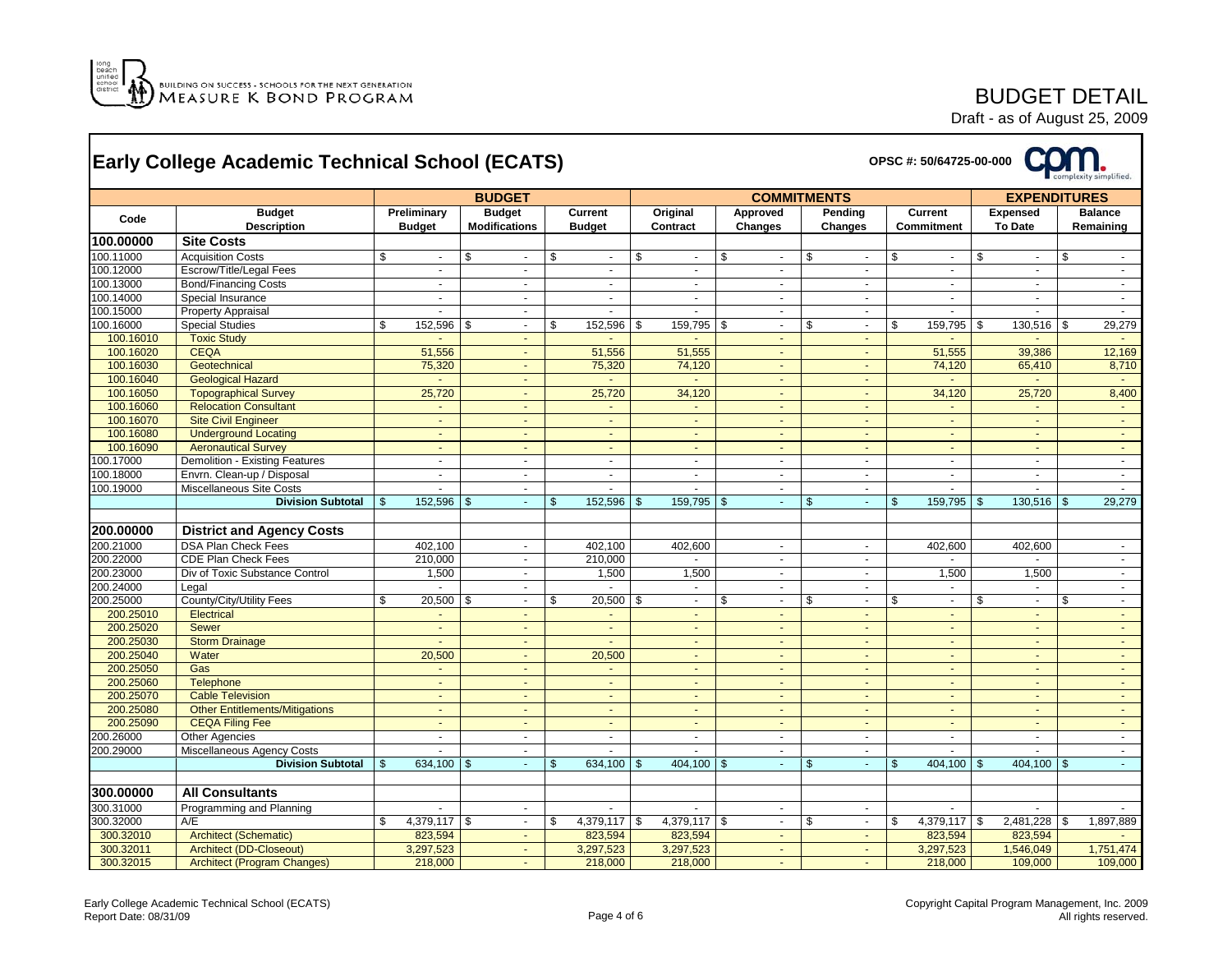

## BUDGET DETAIL

|           | <b>Early College Academic Technical School (ECATS)</b> |                              |                                       |                |                                 |                      |                |                    |                            |              |                    |    | OPSC #: 50/64725-00-000      |                     |                                   |                |                             |
|-----------|--------------------------------------------------------|------------------------------|---------------------------------------|----------------|---------------------------------|----------------------|----------------|--------------------|----------------------------|--------------|--------------------|----|------------------------------|---------------------|-----------------------------------|----------------|-----------------------------|
|           |                                                        |                              | <b>BUDGET</b>                         |                |                                 |                      |                | <b>COMMITMENTS</b> |                            |              |                    |    |                              | <b>EXPENDITURES</b> |                                   |                |                             |
| Code      | <b>Budget</b><br><b>Description</b>                    | Preliminary<br><b>Budget</b> | <b>Budget</b><br><b>Modifications</b> |                | <b>Current</b><br><b>Budget</b> | Original<br>Contract |                |                    | Approved<br><b>Changes</b> |              | Pending<br>Changes |    | <b>Current</b><br>Commitment |                     | <b>Expensed</b><br><b>To Date</b> |                | <b>Balance</b><br>Remaining |
| 100.00000 | <b>Site Costs</b>                                      |                              |                                       |                |                                 |                      |                |                    |                            |              |                    |    |                              |                     |                                   |                |                             |
| 100.11000 | <b>Acquisition Costs</b>                               | \$<br>$\sim$                 | \$<br>$\sim$                          | \$             | $\sim$                          | \$                   | $\sim$         | \$                 | $\Delta$                   | \$           | $\sim$             | \$ | $\sim$                       | \$                  | $\sim$                            | \$             | $\sim$                      |
| 100.12000 | Escrow/Title/Legal Fees                                | $\blacksquare$               | $\blacksquare$                        |                | $\mathcal{L}_{\mathcal{A}}$     |                      | $\sim$         |                    | $\omega$                   |              | $\blacksquare$     |    | $\mathcal{L}$                |                     | $\sim$                            |                | $\sim$                      |
| 100.13000 | <b>Bond/Financing Costs</b>                            | $\mathbf{r}$                 | $\blacksquare$                        |                | $\blacksquare$                  |                      | $\sim$         |                    | $\sim$                     |              |                    |    | $\sim$                       |                     | $\sim$                            |                | $\sim$                      |
| 100.14000 | Special Insurance                                      | $\mathcal{L}_{\mathcal{A}}$  | $\blacksquare$                        |                | ÷.                              |                      | $\sim$         |                    | $\sim$                     |              | $\mathbf{r}$       |    | $\sim$                       |                     | $\blacksquare$                    |                | $\mathcal{L}_{\mathcal{A}}$ |
| 100.15000 | <b>Property Appraisal</b>                              | $\sim$                       | $\sim$                                |                | $\mathbf{r}$                    |                      | $\sim$         |                    | $\omega$                   |              | $\sim$             |    | $\sim$                       |                     | $\sim$                            |                | $\sim$                      |
| 100.16000 | <b>Special Studies</b>                                 | \$<br>152,596 \$             | $\sim$                                | \$             | 152,596                         | \$                   | 159,795 \$     |                    | $\sim$                     | \$           | $\sim$             | \$ | 159,795                      | \$                  | 130,516                           | \$             | 29,279                      |
| 100.16010 | <b>Toxic Study</b>                                     |                              | $\sim$                                |                | $\sim$                          |                      | $\sim$         |                    | $\sim$                     |              | $\sim$             |    | $\sim$                       |                     | $\blacksquare$                    |                | $\sim$                      |
| 100.16020 | <b>CEQA</b>                                            | 51,556                       | $\omega$                              |                | 51,556                          |                      | 51,555         |                    |                            |              | $\omega$           |    | 51,555                       |                     | 39,386                            |                | 12,169                      |
| 100.16030 | Geotechnical                                           | 75,320                       | $\blacksquare$                        |                | 75,320                          |                      | 74,120         |                    | $\sim$                     |              | $\blacksquare$     |    | 74,120                       |                     | 65,410                            |                | 8,710                       |
| 100.16040 | <b>Geological Hazard</b>                               | $\sim$                       | $\Delta$                              |                | $\sim$                          |                      | $\sim$         |                    | $\sim$                     |              | $\Delta$           |    | $\sim$                       |                     | $\omega$                          |                | $\sim$                      |
| 100.16050 | <b>Topographical Survey</b>                            | 25,720                       | $\blacksquare$                        |                | 25,720                          |                      | 34,120         |                    | $\sim$                     |              | $\sim$             |    | 34,120                       |                     | 25,720                            |                | 8,400                       |
| 100.16060 | <b>Relocation Consultant</b>                           | $\sim$                       | $\sim$                                |                | $\blacksquare$                  |                      | $\sim$         |                    | $\sim$                     |              | $\sim$             |    | $\sim$                       |                     | $\blacksquare$                    |                | $\sim$                      |
| 100.16070 | <b>Site Civil Engineer</b>                             | ÷.                           | $\sim$                                |                | $\blacksquare$                  |                      |                |                    | $\sim$                     |              | $\omega$           |    | $\omega$                     |                     | $\blacksquare$                    |                | $\omega$                    |
| 100.16080 | <b>Underground Locating</b>                            | $\omega$ .                   | $\blacksquare$                        |                | $\mathbf{r}$                    |                      | $\sim$         |                    | $\sim$                     |              | $\overline{a}$     |    | $\sim$                       |                     | ÷.                                |                | $\sim$                      |
| 100.16090 | <b>Aeronautical Survey</b>                             | $\sim$                       | $\sim$                                |                | $\blacksquare$                  |                      | $\blacksquare$ |                    | $\sim$                     |              | $\sim$             |    | $\sim$                       |                     | $\blacksquare$                    |                | $\sim$                      |
| 100.17000 | Demolition - Existing Features                         | $\sim$                       | $\mathbf{r}$                          |                | ÷.                              |                      | $\sim$         |                    | $\sim$                     |              | $\sim$             |    | $\sim$                       |                     | $\sim$                            |                | $\sim$                      |
| 100.18000 |                                                        | ÷.                           | $\blacksquare$                        |                | $\omega$                        |                      | $\sim$         |                    | $\sim$                     |              | $\blacksquare$     |    | $\omega$                     |                     | $\blacksquare$                    |                |                             |
|           | Envrn. Clean-up / Disposal                             | ÷.                           | $\overline{a}$                        |                | $\overline{a}$                  |                      | $\overline{a}$ |                    | $\overline{a}$             |              | $\overline{a}$     |    | $\overline{a}$               |                     | ÷                                 |                | $\blacksquare$<br>$\sim$    |
| 100.19000 | Miscellaneous Site Costs                               | 152.596                      |                                       |                |                                 |                      |                |                    |                            |              | $\omega$           |    |                              |                     |                                   |                |                             |
|           | <b>Division Subtotal</b>                               |                              | $\mathfrak{s}$<br>$\omega$            | $\mathbb{S}$   | 152,596                         | $\mathfrak{S}$       | 159,795        | $\mathfrak{S}$     | $\omega$                   | $\mathbb{S}$ |                    | \$ | 159,795                      | \$                  | 130,516                           | $\mathfrak{s}$ | 29,279                      |
| 200.00000 | <b>District and Agency Costs</b>                       |                              |                                       |                |                                 |                      |                |                    |                            |              |                    |    |                              |                     |                                   |                |                             |
| 200.21000 | <b>DSA Plan Check Fees</b>                             | 402,100                      | $\sim$                                |                | 402,100                         |                      | 402,600        |                    | $\sim$                     |              | $\sim$             |    | 402,600                      |                     | 402,600                           |                | $\sim$                      |
| 200.22000 | <b>CDE Plan Check Fees</b>                             | 210,000                      | $\sim$                                |                | 210,000                         |                      | $\sim$         |                    | $\sim$                     |              | $\sim$             |    | $\sim$                       |                     | $\sim$                            |                | $\sim$                      |
| 200.23000 | Div of Toxic Substance Control                         | 1,500                        | $\blacksquare$                        |                | 1,500                           |                      | 1,500          |                    | $\sim$                     |              | $\blacksquare$     |    | 1,500                        |                     | 1,500                             |                | $\omega$                    |
| 200.24000 | Legal                                                  |                              | $\blacksquare$                        |                |                                 |                      |                |                    | $\omega$                   |              | $\sim$             |    | $\blacksquare$               |                     | ä,                                |                | $\sim$                      |
| 200.25000 | County/City/Utility Fees                               | \$<br>$20,500$ \$            | $\sim$                                | \$             | 20,500                          | \$                   | $\sim$         | \$                 | $\sim$                     | \$           | $\sim$             | \$ | $\sim$                       | \$                  | $\sim$                            | \$             | $\sim$                      |
| 200.25010 | <b>Electrical</b>                                      | $\sim$                       | $\sim$                                |                | $\sim$                          |                      | $\sim$         |                    | $\sim$                     |              | $\sim$             |    | $\sim$                       |                     | $\sim$                            |                | $\sim$                      |
| 200.25020 | <b>Sewer</b>                                           | $\blacksquare$               | $\sim$                                |                | $\sim$                          |                      | $\sim$         |                    | $\sim$                     |              | $\sim$             |    | $\sim$                       |                     | $\sim$                            |                | $\sim$                      |
| 200.25030 | <b>Storm Drainage</b>                                  | ä,                           | $\blacksquare$                        |                | $\omega$                        |                      | $\sim$         |                    | $\sim$                     |              | $\blacksquare$     |    | $\blacksquare$               |                     | $\blacksquare$                    |                | $\omega$                    |
| 200.25040 | Water                                                  | 20,500                       | ÷.                                    |                | 20,500                          |                      | $\omega$       |                    | $\sim$                     |              | $\omega$           |    | $\omega$                     |                     | ÷.                                |                | $\omega$ .                  |
| 200.25050 | Gas                                                    | $\sim$                       | $\Delta$                              |                | $\omega$                        |                      | $\sim$         |                    | $\sim$                     |              | $\blacksquare$     |    | $\sim$                       |                     | $\blacksquare$                    |                | $\sim$                      |
| 200.25060 | Telephone                                              | $\sim$                       | $\sim$                                |                | $\sim$                          |                      | $\sim$         |                    | $\sim$                     |              | $\sim$             |    | $\sim$                       |                     | $\sim$                            |                | $\sim$                      |
| 200.25070 | <b>Cable Television</b>                                | $\blacksquare$               | $\blacksquare$                        |                | $\blacksquare$                  |                      |                |                    |                            |              |                    |    | $\blacksquare$               |                     | $\blacksquare$                    |                | $\omega$ .                  |
| 200.25080 |                                                        | ä,                           | $\omega$                              |                |                                 |                      | $\sim$         |                    | $\sim$                     |              | $\sim$             |    |                              |                     | $\sim$                            |                |                             |
|           | <b>Other Entitlements/Mitigations</b>                  | $\sim$                       |                                       |                | $\sim$<br>$\omega$              |                      | $\sim$         |                    | $\sim$                     |              | $\sim$             |    | $\blacksquare$               |                     | $\sim$                            |                | $\blacksquare$<br>$\sim$    |
| 200.25090 | <b>CEQA Filing Fee</b>                                 |                              | $\omega$ .                            |                |                                 |                      |                |                    |                            |              |                    |    | $\sim$                       |                     |                                   |                |                             |
| 200.26000 | <b>Other Agencies</b>                                  | $\sim$                       | $\sim$                                |                | ÷.                              |                      | $\sim$         |                    | $\sim$                     |              | $\sim$             |    | $\blacksquare$               |                     | $\blacksquare$                    |                | $\sim$                      |
| 200.29000 | Miscellaneous Agency Costs                             | $\mathbf{r}$                 | $\omega$                              |                | $\mathbf{r}$                    |                      | $\mathbf{r}$   |                    | $\sim$                     |              | $\sim$             |    | $\omega$                     |                     | $\mathbf{r}$                      |                | $\sim$<br>÷.                |
|           | <b>Division Subtotal</b>                               | 634,100 $\frac{1}{9}$        | $\Delta$                              | $\mathfrak{S}$ | 634,100                         | \$                   | 404,100 \$     |                    |                            | \$           | $\Delta$           | \$ | 404,100                      | <b>S</b>            | 404,100 \$                        |                |                             |
| 300.00000 | <b>All Consultants</b>                                 |                              |                                       |                |                                 |                      |                |                    |                            |              |                    |    |                              |                     |                                   |                |                             |
| 300.31000 | Programming and Planning                               |                              |                                       |                |                                 |                      |                |                    |                            |              |                    |    |                              |                     |                                   |                |                             |
| 300.32000 | A/E                                                    | \$<br>$4,379,117$ \$         | $\sim$                                | \$             | 4,379,117                       | \$                   | $4,379,117$ \$ |                    | $\omega$                   | \$           | $\sim$             | \$ | 4,379,117                    | \$                  | 2,481,228                         | \$             | 1,897,889                   |
| 300.32010 | <b>Architect (Schematic)</b>                           | 823,594                      | $\blacksquare$                        |                | 823,594                         |                      | 823,594        |                    | $\sim$                     |              | $\blacksquare$     |    | 823,594                      |                     | 823,594                           |                |                             |
| 300.32011 | <b>Architect (DD-Closeout)</b>                         | 3,297,523                    | $\sim$                                |                | 3,297,523                       |                      | 3,297,523      |                    | $\sim$                     |              | $\sim$             |    | 3,297,523                    |                     | 1,546,049                         |                | 1,751,474                   |
| 300.32015 | <b>Architect (Program Changes)</b>                     | 218,000                      |                                       |                | 218,000                         |                      | 218,000        |                    |                            |              |                    |    | 218,000                      |                     | 109,000                           |                | 109,000                     |
|           |                                                        |                              |                                       |                |                                 |                      |                |                    |                            |              |                    |    |                              |                     |                                   |                |                             |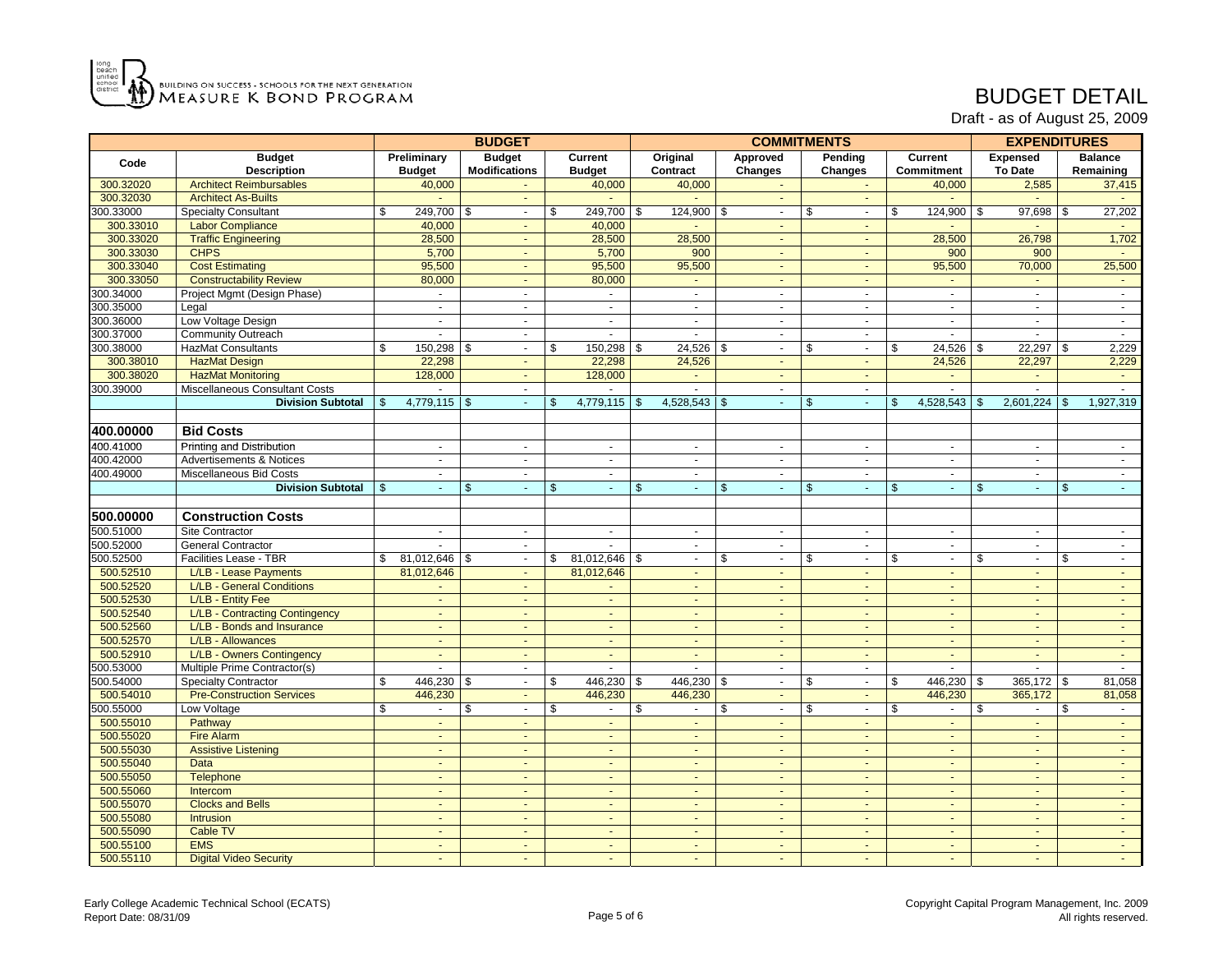

## BUDGET DETAIL

|           |                                     |                |                | <b>BUDGET</b>            |                | <b>COMMITMENTS</b> |                            |                |                |                |                |         |                | <b>EXPENDITURES</b> |                |    |                |  |
|-----------|-------------------------------------|----------------|----------------|--------------------------|----------------|--------------------|----------------------------|----------------|----------------|----------------|----------------|---------|----------------|---------------------|----------------|----|----------------|--|
|           | <b>Budget</b><br>Code               |                | Preliminary    | <b>Budget</b>            |                | Current            | Original                   |                | Approved       |                | Pending        | Current |                |                     | Expensed       |    | <b>Balance</b> |  |
|           | <b>Description</b>                  |                | <b>Budget</b>  | <b>Modifications</b>     |                | <b>Budget</b>      | Contract                   |                | Changes        |                | <b>Changes</b> |         | Commitment     |                     | To Date        |    | Remaining      |  |
| 300.32020 | <b>Architect Reimbursables</b>      |                | 40,000         |                          |                | 40,000             | 40,000                     |                |                |                |                |         | 40,000         |                     | 2,585          |    | 37,415         |  |
| 300.32030 | <b>Architect As-Builts</b>          |                |                | $\sim$                   |                |                    |                            |                | $\sim$         |                | $\sim$         |         | $\sim$         |                     | $\sim$         |    | $\sim$         |  |
| 300.33000 | <b>Specialty Consultant</b>         | \$             | 249,700 \$     | $\sim$                   | $\mathbb{S}$   | 249,700 \$         | $124,900$ \$               |                | $\sim$         | $\mathbb{S}$   | $\sim$         | \$      | 124,900 \$     |                     | 97,698 \$      |    | 27,202         |  |
| 300.33010 | <b>Labor Compliance</b>             |                | 40,000         | $\sim$                   |                | 40,000             |                            |                | $\sim$         |                | $\sim$         |         |                |                     |                |    | $\sim$         |  |
| 300.33020 | <b>Traffic Engineering</b>          |                | 28,500         | ÷.                       |                | 28,500             | 28,500                     |                | $\sim$         |                | $\sim$         |         | 28,500         |                     | 26,798         |    | 1,702          |  |
| 300.33030 | <b>CHPS</b>                         |                | 5,700          | $\sim$                   |                | 5,700              | 900                        |                | $\omega$       |                | $\sim$         |         | 900            |                     | 900            |    | $\sim$         |  |
| 300.33040 | <b>Cost Estimating</b>              |                | 95,500         | $\omega$                 |                | 95,500             | 95,500                     |                | $\blacksquare$ |                | $\sim$         |         | 95,500         |                     | 70,000         |    | 25,500         |  |
| 300.33050 | <b>Constructability Review</b>      |                | 80,000         | $\blacksquare$           |                | 80,000             | $\sim$                     |                | $\sim$         |                | $\sim$         |         | $\sim$         |                     | $\sim$         |    | $\sim$         |  |
| 300.34000 | Project Mgmt (Design Phase)         |                | $\omega$       | $\blacksquare$           |                | $\omega$           | $\blacksquare$             |                | $\blacksquare$ |                | $\blacksquare$ |         | $\mathbf{r}$   |                     | $\mathbf{r}$   |    | $\sim$         |  |
| 300.35000 | Legal                               |                | $\omega$       | $\blacksquare$           |                | $\omega$           | $\omega$                   |                | $\omega$       |                | $\blacksquare$ |         | $\sim$         |                     | $\sim$         |    | $\mathbf{u}$   |  |
| 300.36000 | Low Voltage Design                  |                | $\mathbf{r}$   | $\sim$                   |                | $\omega$           | $\blacksquare$             |                | $\sim$         |                | $\sim$         |         | $\sim$         |                     | $\sim$         |    | $\sim$         |  |
| 300.37000 | <b>Community Outreach</b>           |                | ÷.             | $\blacksquare$           |                | $\sim$             | $\sim$                     |                | $\blacksquare$ |                | $\sim$         |         | $\sim$         |                     | $\sim$         |    | $\sim$         |  |
| 300.38000 | <b>HazMat Consultants</b>           | \$             | 150,298 \$     | $\blacksquare$           | \$             | $150,298$ \$       | $24,526$ \$                |                | $\blacksquare$ | \$             | $\sim$         | \$      | 24,526         | \$                  | $22,297$ \$    |    | 2,229          |  |
| 300.38010 | <b>HazMat Design</b>                |                | 22,298         | ÷.                       |                | 22,298             | 24,526                     |                | $\mathbf{r}$   |                | $\omega$       |         | 24,526         |                     | 22,297         |    | 2,229          |  |
| 300.38020 | <b>HazMat Monitoring</b>            |                | 128,000        | $\omega$ .               |                | 128,000            | $\omega$                   |                | $\omega$       |                | $\sim$         |         | $\omega$       |                     | $\sim$         |    | $\sim$         |  |
| 300.39000 | Miscellaneous Consultant Costs      |                | $\sim$         | $\sim$                   |                | $\sim$             | $\mathbf{r}$               |                | $\omega$       |                | $\sim$         |         | $\sim$         |                     | $\sim$         |    | $\sim$         |  |
|           | <b>Division Subtotal</b>            | $\mathfrak{S}$ | $4,779,115$ \$ | $\omega$                 | $\mathfrak{S}$ | 4,779,115          | 4,528,543<br>$\sqrt[6]{3}$ | $\mathfrak{L}$ | $\blacksquare$ | $\mathfrak{S}$ | $\sim$         | \$      | 4,528,543      | \$                  | 2,601,224      | \$ | 1,927,319      |  |
|           |                                     |                |                |                          |                |                    |                            |                |                |                |                |         |                |                     |                |    |                |  |
| 400.00000 | <b>Bid Costs</b>                    |                |                |                          |                |                    |                            |                |                |                |                |         |                |                     |                |    |                |  |
| 400.41000 | Printing and Distribution           |                | $\blacksquare$ | $\sim$                   |                | $\sim$             | $\blacksquare$             |                | $\sim$         |                | $\blacksquare$ |         | $\sim$         |                     | $\sim$         |    | $\sim$         |  |
| 400.42000 | <b>Advertisements &amp; Notices</b> |                | $\sim$         | $\blacksquare$           |                | $\sim$             | $\sim$                     |                | $\blacksquare$ |                | $\sim$         |         | $\sim$         |                     | $\sim$         |    | $\sim$         |  |
| 400.49000 | Miscellaneous Bid Costs             |                | $\mathbf{r}$   | ä,                       |                | $\omega$           | $\mathbf{r}$               |                | $\blacksquare$ |                | $\blacksquare$ |         | $\sim$         |                     | $\Delta$       |    | $\sim$         |  |
|           | <b>Division Subtotal</b>            |                | $\sim$         | \$<br>$\omega$ .         | \$             | $\omega$           | \$<br>÷.                   | \$             | $\omega$       | \$             | $\omega$       | \$      | $\omega$       | \$                  | $\omega$       | \$ | $\sim$         |  |
|           |                                     |                |                |                          |                |                    |                            |                |                |                |                |         |                |                     |                |    |                |  |
| 500.00000 | <b>Construction Costs</b>           |                |                |                          |                |                    |                            |                |                |                |                |         |                |                     |                |    |                |  |
| 500.51000 | Site Contractor                     |                | $\mathbf{r}$   | $\sim$                   |                | $\omega$           | $\mathbf{r}$               |                | $\sim$         |                | $\omega$       |         | $\omega$       |                     | $\sim$         |    | $\sim$         |  |
| 500.52000 | <b>General Contractor</b>           |                | ä,             | $\blacksquare$           |                | $\blacksquare$     | $\omega$                   |                | $\blacksquare$ |                | $\blacksquare$ |         | $\blacksquare$ |                     | $\sim$         |    | $\sim$         |  |
| 500.52500 | Facilities Lease - TBR              | \$             | 81,012,646     | - \$<br>$\mathbf{r}$     | \$             | 81,012,646         | \$<br>÷.                   | \$             | $\omega$       | \$             | $\omega$       | \$      | $\sim$         | \$                  | $\mathbf{r}$   | \$ | $\sim$         |  |
| 500.52510 | L/LB - Lease Payments               |                | 81,012,646     | ä,                       |                | 81,012,646         | $\blacksquare$             |                |                |                |                |         |                |                     |                |    | ä,             |  |
| 500.52520 | L/LB - General Conditions           |                |                | ä,                       |                |                    | $\omega$ .                 |                | $\omega$       |                | $\omega$       |         | $\sim$         |                     | $\sim$         |    | $\omega$ .     |  |
| 500.52530 | L/LB - Entity Fee                   |                | $\sim$         | $\sim$                   |                | $\sim$             | $\omega$ .                 |                | $\omega$       |                | $\sim$         |         | $\sim$         |                     | $\sim$         |    | $\sim$         |  |
| 500.52540 | L/LB - Contracting Contingency      |                | $\sim$         | ä,                       |                | $\sim$             | $\sim$                     |                | $\blacksquare$ |                | $\sim$         |         | $\sim$         |                     | $\sim$         |    | $\sim$         |  |
| 500.52560 | L/LB - Bonds and Insurance          |                | $\omega$       | $\blacksquare$           |                | $\omega$           | $\omega$                   |                | $\blacksquare$ |                | $\sim$         |         | $\sim$         |                     | $\blacksquare$ |    | $\sim$         |  |
| 500.52570 | L/LB - Allowances                   |                | ä,             | ä,                       |                | $\omega$           | $\blacksquare$             |                | $\blacksquare$ |                |                |         |                |                     | $\omega$       |    | $\omega$       |  |
| 500.52910 | L/LB - Owners Contingency           |                | ÷.             | $\omega$                 |                | ÷.                 | $\mathbf{r}$               |                | $\omega$       |                | $\sim$         |         | $\omega$       |                     | $\omega$       |    | $\sim$         |  |
| 500.53000 | Multiple Prime Contractor(s)        |                | $\sim$         | $\sim$                   |                | $\blacksquare$     | $\mathbf{r}$               |                | $\sim$         |                | $\sim$         |         | $\sim$         |                     | $\sim$         |    | $\sim$         |  |
| 500.54000 | <b>Specialty Contractor</b>         | \$             | 446,230 \$     | $\blacksquare$           | \$             | 446,230 \$         | 446,230 \$                 |                | $\blacksquare$ | \$             | $\omega$       | \$      | 446,230        | \$                  | $365,172$ \$   |    | 81,058         |  |
| 500.54010 | <b>Pre-Construction Services</b>    |                | 446,230        | $\omega$                 |                | 446,230            | 446,230                    |                | $\blacksquare$ |                | $\blacksquare$ |         | 446,230        |                     | 365,172        |    | 81,058         |  |
| 500.55000 | Low Voltage                         | \$             | $\blacksquare$ | \$<br>$\sim$             | \$             | $\blacksquare$     | \$<br>$\mathbf{r}$         | \$             | $\omega$       | \$             | $\sim$         | \$      |                | \$                  | $\mathbf{r}$   | \$ | $\omega$       |  |
| 500.55010 | Pathway                             |                | $\omega$ .     | $\omega$ .               |                | $\mathbf{r}$       | $\mathbf{r}$               |                | $\omega$       |                | $\omega$       |         | $\omega$       |                     | $\omega$       |    | $\sim$         |  |
| 500.55020 | <b>Fire Alarm</b>                   |                | $\sim$         | $\sim$                   |                | $\sim$             | $\sim$                     |                | $\blacksquare$ |                | $\sim$         |         | $\sim$         |                     | $\sim$         |    | $\sim$         |  |
| 500.55030 | <b>Assistive Listening</b>          |                | $\sim$         | $\blacksquare$           |                | $\sim$             | $\sim$                     |                | $\sim$         |                | $\sim$         |         | $\sim$         |                     | $\sim$         |    | $\sim$         |  |
| 500.55040 | <b>Data</b>                         |                | $\blacksquare$ | $\blacksquare$           |                | $\blacksquare$     | $\blacksquare$             |                | $\blacksquare$ |                | $\blacksquare$ |         | $\sim$         |                     | $\blacksquare$ |    | $\sim$         |  |
| 500.55050 | <b>Telephone</b>                    |                | ÷.             | $\omega$                 |                | ÷.                 | $\omega$                   |                | $\blacksquare$ |                | $\sim$         |         | $\omega$       |                     | $\sim$         |    | $\sim$         |  |
| 500.55060 | Intercom                            |                | $\sim$         | $\Delta$                 |                | $\sim$             | $\mathbf{r}$               |                | $\mathbf{r}$   |                | $\sim$         |         | $\sim$         |                     | $\sim$         |    | $\sim$         |  |
| 500.55070 | <b>Clocks and Bells</b>             |                | $\sim$         | $\sim$                   |                | $\sim$             | $\sim$                     |                | $\sim$         |                | $\sim$         |         | $\sim$         |                     | $\sim$         |    | $\sim$ $-$     |  |
| 500.55080 | <b>Intrusion</b>                    |                | $\mathbf{r}$   | $\blacksquare$           |                | $\mathbf{r}$       | $\blacksquare$             |                | $\sim$         |                | $\sim$         |         | $\sim$         |                     | $\mathbf{r}$   |    | $\omega$ .     |  |
| 500.55090 | Cable TV                            |                | ä,             | $\omega$                 |                | $\omega$           | $\omega$                   |                | $\blacksquare$ |                | $\blacksquare$ |         | $\omega$       |                     | $\omega$       |    | $\omega$       |  |
| 500.55100 | <b>EMS</b>                          |                | ÷.             | $\omega$                 |                | ÷.                 | $\sim$                     |                | $\omega$       |                | $\sim$         |         | $\omega$       |                     | $\omega$       |    | $\sim$         |  |
| 500.55110 | <b>Digital Video Security</b>       |                | ٠              | $\overline{\phantom{a}}$ |                | $\sim$             | $\sim$                     |                | $\sim$         |                | $\sim$         |         | $\sim$         |                     | $\sim$         |    | $\sim$         |  |